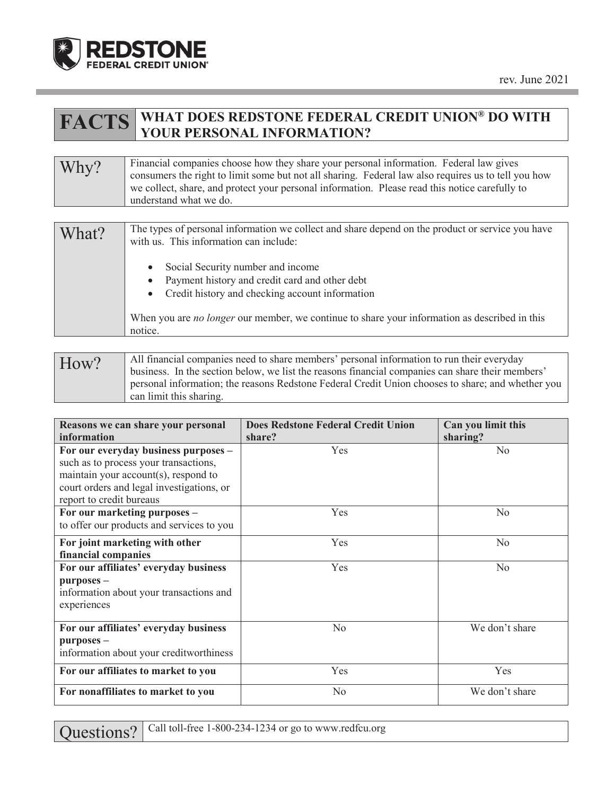

## **FACTS WHAT DOES REDSTONE FEDERAL CREDIT UNION® DO WITH YOUR PERSONAL INFORMATION?**

## Why? Financial companies choose how they share your personal information. Federal law gives<br>consumers the right to limit some but not all sharing. Eederal law also requires us to tell w consumers the right to limit some but not all sharing. Federal law also requires us to tell you how we collect, share, and protect your personal information. Please read this notice carefully to understand what we do.

| What? | The types of personal information we collect and share depend on the product or service you have<br>with us. This information can include:                                                                                                                               |
|-------|--------------------------------------------------------------------------------------------------------------------------------------------------------------------------------------------------------------------------------------------------------------------------|
|       | Social Security number and income<br>Payment history and credit card and other debt<br>$\bullet$<br>Credit history and checking account information<br>$\bullet$<br>When you are <i>no longer</i> our member, we continue to share your information as described in this |
|       | notice.                                                                                                                                                                                                                                                                  |

How? All financial companies need to share members' personal information to run their everyday business. In the section below, we list the reasons financial companies can share their members' personal information; the reasons Redstone Federal Credit Union chooses to share; and whether you can limit this sharing.

| Reasons we can share your personal<br>information                                                                                                                                              | <b>Does Redstone Federal Credit Union</b><br>share? | Can you limit this<br>sharing? |
|------------------------------------------------------------------------------------------------------------------------------------------------------------------------------------------------|-----------------------------------------------------|--------------------------------|
| For our everyday business purposes -<br>such as to process your transactions,<br>maintain your account(s), respond to<br>court orders and legal investigations, or<br>report to credit bureaus | Yes                                                 | N <sub>o</sub>                 |
| For our marketing purposes -<br>to offer our products and services to you                                                                                                                      | Yes                                                 | N <sub>o</sub>                 |
| For joint marketing with other<br>financial companies                                                                                                                                          | <b>Yes</b>                                          | N <sub>o</sub>                 |
| For our affiliates' everyday business<br>purposes -<br>information about your transactions and<br>experiences                                                                                  | Yes                                                 | N <sub>o</sub>                 |
| For our affiliates' everyday business<br>purposes -<br>information about your creditworthiness                                                                                                 | N <sub>o</sub>                                      | We don't share                 |
| For our affiliates to market to you                                                                                                                                                            | Yes                                                 | Yes                            |
| For nonaffiliates to market to you                                                                                                                                                             | No                                                  | We don't share                 |

| Questions?   Call toll-free 1-800-234-1234 or go to www.redfcu.org |  |  |  |  |
|--------------------------------------------------------------------|--|--|--|--|
|--------------------------------------------------------------------|--|--|--|--|